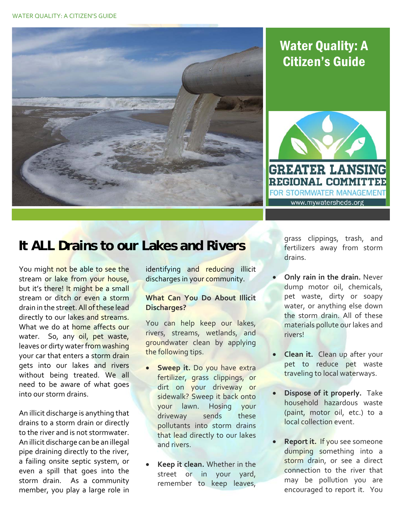

## Water Quality: A Citizen's Guide



## **It ALL Drains to our Lakes and Rivers**

You migh<mark>t not b</mark>e able to see the stream o<mark>r lake from your house,</mark> but it's there! It might be a small stream or ditch or even a storm drain in the street. All of these lead directly to our lakes and streams. What we do at <mark>home affects our</mark> water. So, any oil, pet waste, leaves or dirty water from washing your car that enters a storm drain gets into our lakes and rivers without being treated. We all need to be aware of what goes into our storm drains.

 An illicit discharge is anything that drains to a storm drain or directly to the river and is not stormwater. An illicit discharge can be an illegal pipe draining directly to the river, a failing onsite septic system, or even a spill that goes into the storm drain. As a community member, you play a large role in

 identifying and reducing illicit discharges in yo<mark>ur commu</mark>nity.

## **What Can You Do About Illicit Discharges?**

 You can help keep our lakes, rivers, streams, wetlands, and groundwater clean by applying the following tips.

- **Sweep it.** Do you have extra fertilizer, grass clippings, or dirt on your driveway or sidewalk? Sweep it back onto your lawn. Hosing your sends these pollutants into storm drains that lead directly to our lakes and rivers. driveway
- **Keep it clean.** Whether in the street or in your yard, remember to keep leaves,

 grass clippings, trash, and fertilizers away from storm drains.

- **Only rain in the drain.** Never dump motor oil, chemicals, pet waste, dirty or soapy water, or anything else down the storm drain. All of these materials pollute our lakes and rivers!
- **Clean it.** Clean up after your pet to reduce pet waste traveling to local waterways.
- **Dispose of it properly.** Take household hazardous waste (paint, motor oil, etc.) to a local collection event.
- **Report it.** If you see someone dumping something into a storm drain, or see a direct connection to the river that may be pollution you are encouraged to report it. You